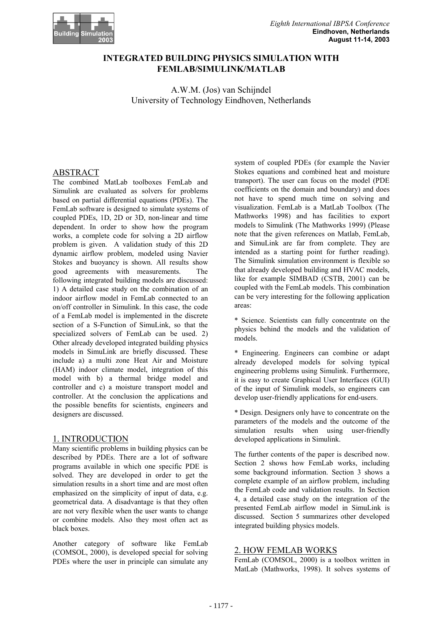

# **INTEGRATED BUILDING PHYSICS SIMULATION WITH FEMLAB/SIMULINK/MATLAB**

A.W.M. (Jos) van Schijndel University of Technology Eindhoven, Netherlands

# ABSTRACT

The combined MatLab toolboxes FemLab and Simulink are evaluated as solvers for problems based on partial differential equations (PDEs). The FemLab software is designed to simulate systems of coupled PDEs, 1D, 2D or 3D, non-linear and time dependent. In order to show how the program works, a complete code for solving a 2D airflow problem is given. A validation study of this 2D dynamic airflow problem, modeled using Navier Stokes and buoyancy is shown. All results show good agreements with measurements. The following integrated building models are discussed: 1) A detailed case study on the combination of an indoor airflow model in FemLab connected to an on/off controller in Simulink. In this case, the code of a FemLab model is implemented in the discrete section of a S-Function of SimuLink, so that the specialized solvers of FemLab can be used. 2) Other already developed integrated building physics models in SimuLink are briefly discussed. These include a) a multi zone Heat Air and Moisture (HAM) indoor climate model, integration of this model with b) a thermal bridge model and controller and c) a moisture transport model and controller. At the conclusion the applications and the possible benefits for scientists, engineers and designers are discussed.

## 1. INTRODUCTION

Many scientific problems in building physics can be described by PDEs. There are a lot of software programs available in which one specific PDE is solved. They are developed in order to get the simulation results in a short time and are most often emphasized on the simplicity of input of data, e.g. geometrical data. A disadvantage is that they often are not very flexible when the user wants to change or combine models. Also they most often act as black boxes.

Another category of software like FemLab (COMSOL, 2000), is developed special for solving PDEs where the user in principle can simulate any system of coupled PDEs (for example the Navier Stokes equations and combined heat and moisture transport). The user can focus on the model (PDE coefficients on the domain and boundary) and does not have to spend much time on solving and visualization. FemLab is a MatLab Toolbox (The Mathworks 1998) and has facilities to export models to Simulink (The Mathworks 1999) (Please note that the given references on Matlab, FemLab, and SimuLink are far from complete. They are intended as a starting point for further reading). The Simulink simulation environment is flexible so that already developed building and HVAC models, like for example SIMBAD (CSTB, 2001) can be coupled with the FemLab models. This combination can be very interesting for the following application areas:

\* Science. Scientists can fully concentrate on the physics behind the models and the validation of models.

\* Engineering. Engineers can combine or adapt already developed models for solving typical engineering problems using Simulink. Furthermore, it is easy to create Graphical User Interfaces (GUI) of the input of Simulink models, so engineers can develop user-friendly applications for end-users.

\* Design. Designers only have to concentrate on the parameters of the models and the outcome of the simulation results when using user-friendly developed applications in Simulink.

The further contents of the paper is described now. Section 2 shows how FemLab works, including some background information. Section 3 shows a complete example of an airflow problem, including the FemLab code and validation results. In Section 4, a detailed case study on the integration of the presented FemLab airflow model in SimuLink is discussed. Section 5 summarizes other developed integrated building physics models.

## 2. HOW FEMLAB WORKS

FemLab (COMSOL, 2000) is a toolbox written in MatLab (Mathworks, 1998). It solves systems of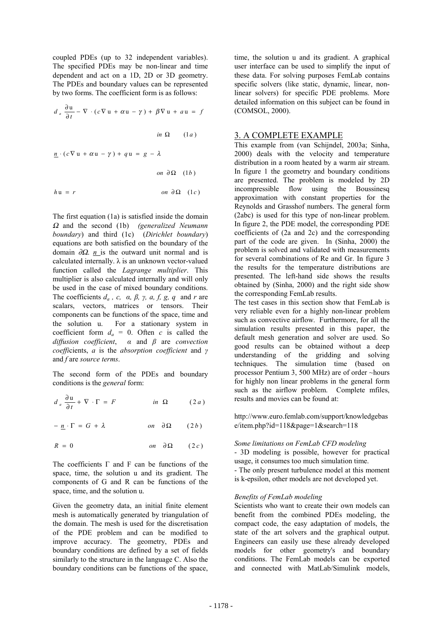coupled PDEs (up to 32 independent variables). The specified PDEs may be non-linear and time dependent and act on a 1D, 2D or 3D geometry. The PDEs and boundary values can be represented by two forms. The coefficient form is as follows:

$$
d_a \frac{\partial u}{\partial t} - \nabla \cdot (c\nabla u + \alpha u - \gamma) + \beta \nabla u + a u = f
$$
  
\n
$$
in \Omega \qquad (1a)
$$
  
\n
$$
\underline{n} \cdot (c\nabla u + \alpha u - \gamma) + q u = g - \lambda
$$
  
\n
$$
on \partial \Omega \qquad (1b)
$$
  
\n
$$
hu = r \qquad on \partial \Omega \qquad (1c)
$$

The first equation (1a) is satisfied inside the domain <sup>Ω</sup> and the second (1b) *(generalized Neumann boundary*) and third (1c) (*Dirichlet boundary*) equations are both satisfied on the boundary of the domain ∂Ω. *n* is the outward unit normal and is calculated internally.  $\lambda$  is an unknown vector-valued function called the *Lagrange multiplier*. This multiplier is also calculated internally and will only be used in the case of mixed boundary conditions. The coefficients  $d_a$ , c,  $\alpha$ ,  $\beta$ ,  $\gamma$ ,  $\alpha$ ,  $f$ ,  $g$ ,  $q$  and  $r$  are scalars, vectors, matrices or tensors. Their components can be functions of the space, time and the solution u. For a stationary system in coefficient form  $d_a = 0$ . Often *c* is called the *diffusion coefficient*, *α* and *β* are *convection coeffi*cients, *a* is the *absorption coefficient* and *γ* and *f* are *source terms*.

The second form of the PDEs and boundary conditions is the *general* form:

$$
d_a \frac{\partial \mathbf{u}}{\partial t} + \nabla \cdot \Gamma = F \qquad \qquad in \ \Omega \qquad (2a)
$$

 $(2b)$  $-n \cdot \Gamma = G + \lambda$  *on*  $\partial \Omega$  (2*b* 

$$
R = 0 \qquad \qquad on \quad \partial \Omega \qquad (2c)
$$

The coefficients Γ and F can be functions of the space, time, the solution u and its gradient. The components of G and R can be functions of the space, time, and the solution u.

Given the geometry data, an initial finite element mesh is automatically generated by triangulation of the domain. The mesh is used for the discretisation of the PDE problem and can be modified to improve accuracy. The geometry, PDEs and boundary conditions are defined by a set of fields similarly to the structure in the language C. Also the boundary conditions can be functions of the space,

time, the solution u and its gradient. A graphical user interface can be used to simplify the input of these data. For solving purposes FemLab contains specific solvers (like static, dynamic, linear, nonlinear solvers) for specific PDE problems. More detailed information on this subject can be found in (COMSOL, 2000).

#### 3. A COMPLETE EXAMPLE

This example from (van Schijndel, 2003a; Sinha, 2000) deals with the velocity and temperature distribution in a room heated by a warm air stream. In figure 1 the geometry and boundary conditions are presented. The problem is modeled by 2D incompressible flow using the Boussinesq approximation with constant properties for the Reynolds and Grasshof numbers. The general form (2abc) is used for this type of non-linear problem. In figure 2, the PDE model, the corresponding PDE coefficients of (2a and 2c) and the corresponding part of the code are given. In (Sinha, 2000) the problem is solved and validated with measurements for several combinations of Re and Gr. In figure 3 the results for the temperature distributions are presented. The left-hand side shows the results obtained by (Sinha, 2000) and the right side show the corresponding FemLab results.

The test cases in this section show that FemLab is very reliable even for a highly non-linear problem such as convective airflow. Furthermore, for all the simulation results presented in this paper, the default mesh generation and solver are used. So good results can be obtained without a deep understanding of the gridding and solving techniques. The simulation time (based on processor Pentium 3, 500 MHz) are of order ~hours for highly non linear problems in the general form such as the airflow problem. Complete mfiles, results and movies can be found at:

http://www.euro.femlab.com/support/knowledgebas e/item.php?id=118&page=1&search=118

#### *Some limitations on FemLab CFD modeling*

- 3D modeling is possible, however for practical usage, it consumes too much simulation time. - The only present turbulence model at this moment is k-epsilon, other models are not developed yet.

#### *Benefits of FemLab modeling*

Scientists who want to create their own models can benefit from the combined PDEs modeling, the compact code, the easy adaptation of models, the state of the art solvers and the graphical output. Engineers can easily use these already developed models for other geometry's and boundary conditions. The FemLab models can be exported and connected with MatLab/Simulink models,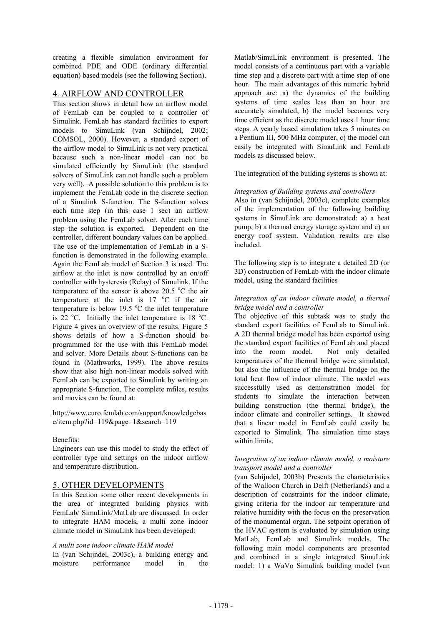creating a flexible simulation environment for combined PDE and ODE (ordinary differential equation) based models (see the following Section).

#### 4. AIRFLOW AND CONTROLLER

This section shows in detail how an airflow model of FemLab can be coupled to a controller of Simulink. FemLab has standard facilities to export models to SimuLink (van Schijndel, 2002; COMSOL, 2000). However, a standard export of the airflow model to SimuLink is not very practical because such a non-linear model can not be simulated efficiently by SimuLink (the standard solvers of SimuLink can not handle such a problem very well). A possible solution to this problem is to implement the FemLab code in the discrete section of a Simulink S-function. The S-function solves each time step (in this case 1 sec) an airflow problem using the FemLab solver. After each time step the solution is exported. Dependent on the controller, different boundary values can be applied. The use of the implementation of FemLab in a Sfunction is demonstrated in the following example. Again the FemLab model of Section 3 is used. The airflow at the inlet is now controlled by an on/off controller with hysteresis (Relay) of Simulink. If the temperature of the sensor is above 20.5  $\degree$ C the air temperature at the inlet is  $17 \degree C$  if the air temperature is below 19.5  $^{\circ}$ C the inlet temperature is 22  $^{\circ}$ C. Initially the inlet temperature is 18  $^{\circ}$ C. Figure 4 gives an overview of the results. Figure 5 shows details of how a S-function should be programmed for the use with this FemLab model and solver. More Details about S-functions can be found in (Mathworks, 1999). The above results show that also high non-linear models solved with FemLab can be exported to Simulink by writing an appropriate S-function. The complete mfiles, results and movies can be found at:

http://www.euro.femlab.com/support/knowledgebas e/item.php?id=119&page=1&search=119

#### Benefits:

Engineers can use this model to study the effect of controller type and settings on the indoor airflow and temperature distribution.

## 5. OTHER DEVELOPMENTS

In this Section some other recent developments in the area of integrated building physics with FemLab/ SimuLink/MatLab are discussed. In order to integrate HAM models, a multi zone indoor climate model in SimuLink has been developed:

#### *A multi zone indoor climate HAM model*

In (van Schijndel, 2003c), a building energy and moisture performance model in the

Matlab/SimuLink environment is presented. The model consists of a continuous part with a variable time step and a discrete part with a time step of one hour. The main advantages of this numeric hybrid approach are: a) the dynamics of the building systems of time scales less than an hour are accurately simulated, b) the model becomes very time efficient as the discrete model uses 1 hour time steps. A yearly based simulation takes 5 minutes on a Pentium III, 500 MHz computer, c) the model can easily be integrated with SimuLink and FemLab models as discussed below.

The integration of the building systems is shown at:

#### *Integration of Building systems and controllers*

Also in (van Schijndel, 2003c), complete examples of the implementation of the following building systems in SimuLink are demonstrated: a) a heat pump, b) a thermal energy storage system and c) an energy roof system. Validation results are also included.

The following step is to integrate a detailed 2D (or 3D) construction of FemLab with the indoor climate model, using the standard facilities

#### *Integration of an indoor climate model, a thermal bridge model and a controller*

The objective of this subtask was to study the standard export facilities of FemLab to SimuLink. A 2D thermal bridge model has been exported using the standard export facilities of FemLab and placed into the room model. Not only detailed temperatures of the thermal bridge were simulated, but also the influence of the thermal bridge on the total heat flow of indoor climate. The model was successfully used as demonstration model for students to simulate the interaction between building construction (the thermal bridge), the indoor climate and controller settings. It showed that a linear model in FemLab could easily be exported to Simulink. The simulation time stays within limits.

#### *Integration of an indoor climate model, a moisture transport model and a controller*

(van Schijndel, 2003b) Presents the characteristics of the Walloon Church in Delft (Netherlands) and a description of constraints for the indoor climate, giving criteria for the indoor air temperature and relative humidity with the focus on the preservation of the monumental organ. The setpoint operation of the HVAC system is evaluated by simulation using MatLab, FemLab and Simulink models. The following main model components are presented and combined in a single integrated SimuLink model: 1) a WaVo Simulink building model (van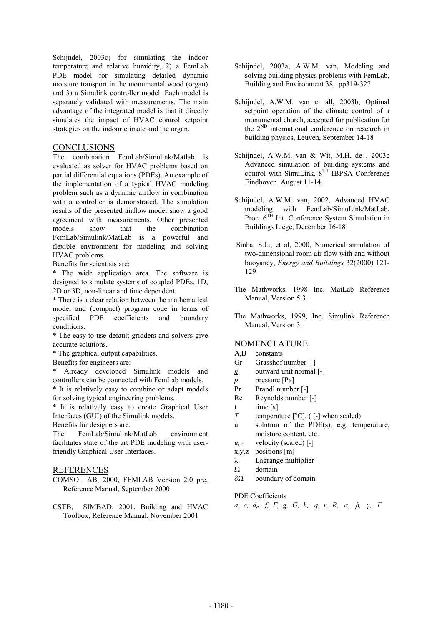Schijndel, 2003c) for simulating the indoor temperature and relative humidity, 2) a FemLab PDE model for simulating detailed dynamic moisture transport in the monumental wood (organ) and 3) a Simulink controller model. Each model is separately validated with measurements. The main advantage of the integrated model is that it directly simulates the impact of HVAC control setpoint strategies on the indoor climate and the organ.

## **CONCLUSIONS**

The combination FemLab/Simulink/Matlab is evaluated as solver for HVAC problems based on partial differential equations (PDEs). An example of the implementation of a typical HVAC modeling problem such as a dynamic airflow in combination with a controller is demonstrated. The simulation results of the presented airflow model show a good agreement with measurements. Other presented models show that the combination FemLab/Simulink/MatLab is a powerful and flexible environment for modeling and solving HVAC problems.

Benefits for scientists are:

\* The wide application area. The software is designed to simulate systems of coupled PDEs, 1D, 2D or 3D, non-linear and time dependent.

\* There is a clear relation between the mathematical model and (compact) program code in terms of specified PDE coefficients and boundary conditions.

\* The easy-to-use default gridders and solvers give accurate solutions.

\* The graphical output capabilities.

Benefits for engineers are:

\* Already developed Simulink models and controllers can be connected with FemLab models.

\* It is relatively easy to combine or adapt models for solving typical engineering problems.

\* It is relatively easy to create Graphical User Interfaces (GUI) of the Simulink models.

Benefits for designers are:

The FemLab/Simulink/MatLab environment facilitates state of the art PDE modeling with userfriendly Graphical User Interfaces.

#### REFERENCES

COMSOL AB, 2000, FEMLAB Version 2.0 pre, Reference Manual, September 2000

CSTB, SIMBAD, 2001, Building and HVAC Toolbox, Reference Manual, November 2001

- Schijndel, 2003a, A.W.M. van, Modeling and solving building physics problems with FemLab, Building and Environment 38, pp319-327
- Schijndel, A.W.M. van et all, 2003b, Optimal setpoint operation of the climate control of a monumental church, accepted for publication for the 2ND international conference on research in building physics, Leuven, September 14-18
- Schijndel, A.W.M. van & Wit, M.H. de , 2003c Advanced simulation of building systems and control with SimuLink,  $8^{TH}$  IBPSA Conference Eindhoven. August 11-14.
- Schijndel, A.W.M. van, 2002, Advanced HVAC modeling with FemLab/SimuLink/MatLab, Proc.  $6^{TH}$  Int. Conference System Simulation in Buildings Liege, December 16-18
- Sinha, S.L., et al, 2000, Numerical simulation of two-dimensional room air flow with and without buoyancy, *Energy and Buildings* 32(2000) 121- 129
- The Mathworks, 1998 Inc. MatLab Reference Manual, Version 5.3.
- The Mathworks, 1999, Inc. Simulink Reference Manual, Version 3.

#### NOMENCLATURE

- A,B constants
- Gr Grasshof number [-]
- *n* outward unit normal [-]
- *p* pressure [Pa]
- Pr Prandl number [-]
- Re Reynolds number [-]
- t time [s]
- *T* temperature  $[°C]$ ,  $([-]$  when scaled)
- u solution of the PDE(s), e.g. temperature, moisture content, etc.
- $u, v$  velocity (scaled)  $[-]$
- x,y,z positions [m]
- λ Lagrange multiplier
- Ω domain
- ∂Ω boundary of domain

#### PDE Coefficients

*a, c, da , f, F, g, G, h, q, r, R, α, β, γ, Γ*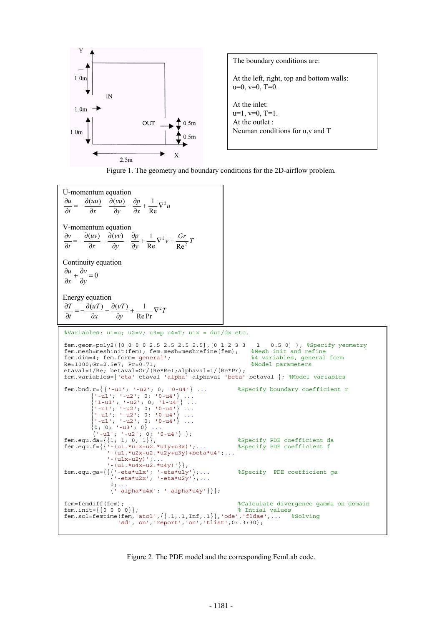



U-momentum equation  $\frac{p}{dx} + \frac{1}{\text{Re}} \nabla^2 u$ *y vu x*  $u = \partial(uu) - \partial(vu) - \partial p - 1$ <sub>172</sub>  $\partial t$ Re  $\frac{\partial u}{\partial t} = -\frac{\partial (uu)}{\partial x} - \frac{\partial (vu)}{\partial y} - \frac{\partial p}{\partial x} + \frac{1}{Re} \nabla$ ∂ V-momentum equation  $\frac{p}{y}$  +  $\frac{1}{\text{Re}} \nabla^2 v$  +  $\frac{Gr}{\text{Re}^2} T$ *y vv*  $\partial x$  $\frac{(uv)}{dx} - \frac{\partial}{\partial x}$  $\partial t$  $\frac{\partial v}{\partial t} = -\frac{\partial v}{\partial x}$ <sup>2</sup> $v + \frac{Ur}{R_0^2}$ Re Re  $\frac{(\mu v)}{\partial x}$  -  $\frac{\partial (v v)}{\partial y}$  -  $\frac{\partial p}{\partial y}$  +  $\frac{1}{\text{Re}} \nabla^2 v$  + Continuity equation  $\frac{\partial v}{\partial y} = 0$  $\frac{\partial u}{\partial x} + \frac{\partial}{\partial y}$ ∂ *y v x u* Energy equation *T y* ∂  $\frac{T}{\Delta t} = -\frac{\partial (uT)}{\partial t} - \frac{\partial (vT)}{\partial t} + \frac{1}{\Delta t} \nabla^2$ *x*  $\frac{(uT)}{dx} - \frac{\partial}{\partial x}$  $\partial t$ Re Pr  $\frac{\partial T}{\partial t} = -\frac{\partial}{\partial x}$ %Variables: u1=u; u2=v; u3=p u4=T; u1x = du1/dx etc. fem.geom=poly2( $[0 0 0 0 2.5 2.5 2.5 2.5]$ , $[0 1 2 3 3 1 0.5 0]$ ); %Specify yeometry fem.mesh=meshinit(fem); fem.mesh=meshrefine(fem); %Mesh init and refine fem.mesh=meshinit(fem); fem.mesh=meshrefine(fem); fem.dim=4; fem.form='general'; %4 variables, general form Re=1000;Gr=2.5e7; Pr=0.71;  $R = 1000$ ;Gr=2.5e7; Pr=0.71; etaval=1/Re; betaval=Gr/(Re\*Re);alphaval=1/(Re\*Pr); fem.variables={'eta' etaval 'alpha' alphaval 'beta' betaval }; %Model variables fem.bnd.r={ {'-u1'; '-u2'; 0; '0-u4'} ... %Specify boundary coefficient r  $\{$  '-u1'; '-u2'; 0; '0-u4'} ...  $\{ '1-u1'; ' -u2'; 0; '1-u4' \} ...$  $\{ ' - u1' ; ' - u2' ; 0; '0 - u4' \} ...$  $\{$  '-u1'; '-u2'; 0; '0-u4'} ...  $\{$  '-u1'; '-u2'; 0; '0-u4'} ...  $\{0; 0; ' - u3'; 0\}$  ...  $\{$  '-u1'; '-u2'; 0; '0-u4'} }; fem.equ.da= $\{\{1; 1; 0; 1\}\};$ fem.equ.f={{'-(u1.\*u1x+u2.\*u1y+u3x)';... %Specify PDE coefficient f  $'$ -(u1.\*u2x+u2.\*u2y+u3y)+beta\*u4';...  $'$ -(u1x+u2y)';.  $' - (u1.*u4x+u2.*u4y)$  ' } }; fem.equ.ga={{{'-eta\*u1x'; '-eta\*u1y'};... %Specify PDE coefficient ga  $\{$  '-eta\*u2x'; '-eta\*u2y'};...  $0; \ldots$  {'-alpha\*u4x'; '-alpha\*u4y'}}}; fem=femdiff(fem); %Calculate divergence gamma on domain  $fem.init={0 0 0 0}$ ;  $\text{m.init}$ fem.sol=femtime(fem,'atol',{{.1,.1,Inf,.1}},'ode','fldae',... %Solving 'sd','on','report','on','tlist',0:.3:30);

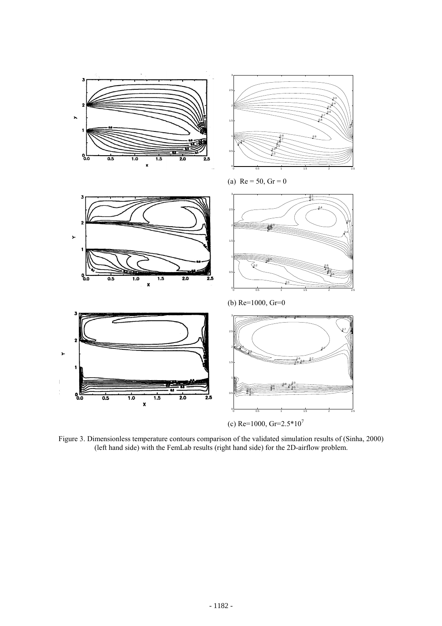

Figure 3. Dimensionless temperature contours comparison of the validated simulation results of (Sinha, 2000) (left hand side) with the FemLab results (right hand side) for the 2D-airflow problem.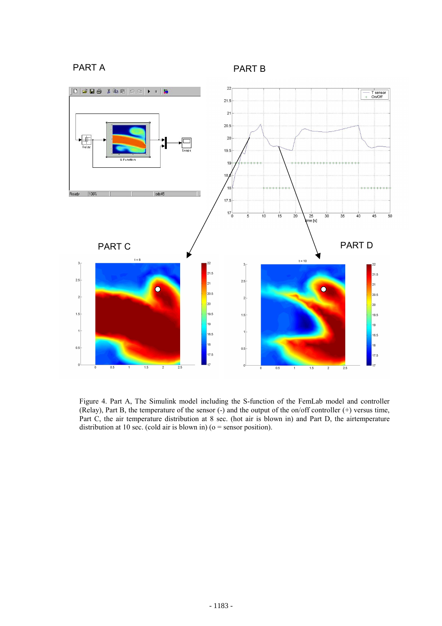# PART A PART B



Figure 4. Part A, The Simulink model including the S-function of the FemLab model and controller (Relay), Part B, the temperature of the sensor (-) and the output of the on/off controller (+) versus time, Part C, the air temperature distribution at 8 sec. (hot air is blown in) and Part D, the airtemperature distribution at 10 sec. (cold air is blown in) ( $o =$  sensor position).